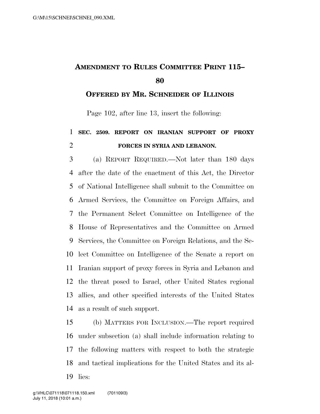## **AMENDMENT TO RULES COMMITTEE PRINT 115–**

**OFFERED BY MR. SCHNEIDER OF ILLINOIS**

Page 102, after line 13, insert the following:

## **SEC. 2509. REPORT ON IRANIAN SUPPORT OF PROXY FORCES IN SYRIA AND LEBANON.**

 (a) REPORT REQUIRED.—Not later than 180 days after the date of the enactment of this Act, the Director of National Intelligence shall submit to the Committee on Armed Services, the Committee on Foreign Affairs, and the Permanent Select Committee on Intelligence of the House of Representatives and the Committee on Armed Services, the Committee on Foreign Relations, and the Se- lect Committee on Intelligence of the Senate a report on Iranian support of proxy forces in Syria and Lebanon and the threat posed to Israel, other United States regional allies, and other specified interests of the United States as a result of such support.

 (b) MATTERS FOR INCLUSION.—The report required under subsection (a) shall include information relating to the following matters with respect to both the strategic and tactical implications for the United States and its al-lies: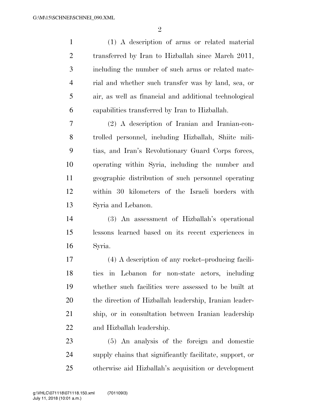$\mathfrak{D}$ 

 (1) A description of arms or related material transferred by Iran to Hizballah since March 2011, including the number of such arms or related mate- rial and whether such transfer was by land, sea, or air, as well as financial and additional technological capabilities transferred by Iran to Hizballah.

 (2) A description of Iranian and Iranian-con- trolled personnel, including Hizballah, Shiite mili- tias, and Iran's Revolutionary Guard Corps forces, operating within Syria, including the number and geographic distribution of such personnel operating within 30 kilometers of the Israeli borders with Syria and Lebanon.

 (3) An assessment of Hizballah's operational lessons learned based on its recent experiences in Syria.

 (4) A description of any rocket–producing facili- ties in Lebanon for non-state actors, including whether such facilities were assessed to be built at the direction of Hizballah leadership, Iranian leader- ship, or in consultation between Iranian leadership and Hizballah leadership.

 (5) An analysis of the foreign and domestic supply chains that significantly facilitate, support, or otherwise aid Hizballah's acquisition or development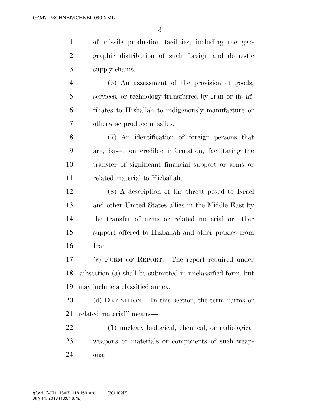of missile production facilities, including the geo- graphic distribution of such foreign and domestic supply chains.

 (6) An assessment of the provision of goods, services, or technology transferred by Iran or its af- filiates to Hizballah to indigenously manufacture or otherwise produce missiles.

 (7) An identification of foreign persons that are, based on credible information, facilitating the transfer of significant financial support or arms or related material to Hizballah.

 (8) A description of the threat posed to Israel and other United States allies in the Middle East by the transfer of arms or related material or other support offered to Hizballah and other proxies from Iran.

 (c) FORM OF REPORT.—The report required under subsection (a) shall be submitted in unclassified form, but may include a classified annex.

 (d) DEFINITION.—In this section, the term ''arms or related material'' means—

 (1) nuclear, biological, chemical, or radiological weapons or materials or components of such weap-ons;